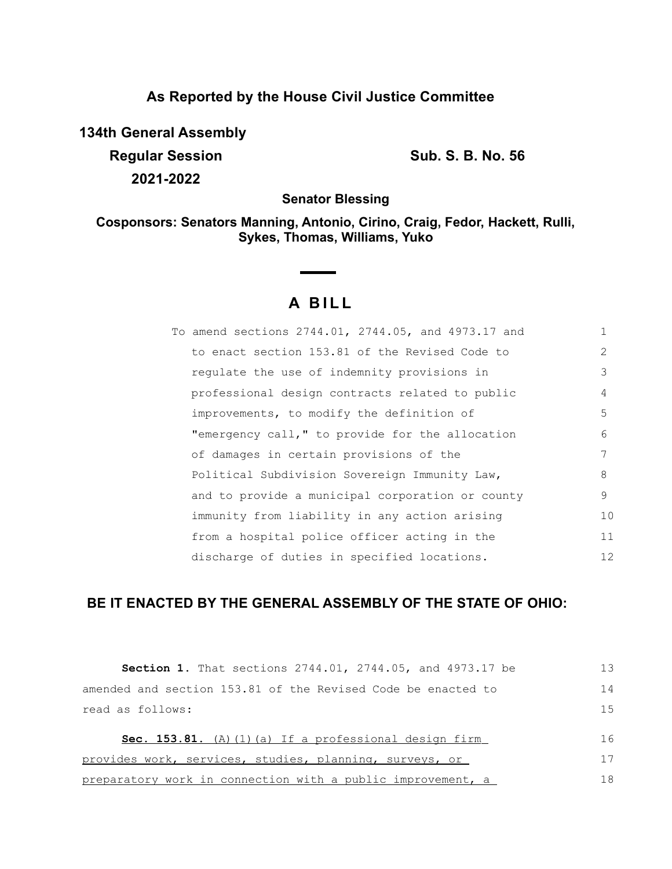# **As Reported by the House Civil Justice Committee**

**134th General Assembly**

**Regular Session Sub. S. B. No. 56 2021-2022**

**Senator Blessing**

**Cosponsors: Senators Manning, Antonio, Cirino, Craig, Fedor, Hackett, Rulli, Sykes, Thomas, Williams, Yuko**

# **A B I L L**

| To amend sections 2744.01, 2744.05, and 4973.17 and |               |
|-----------------------------------------------------|---------------|
| to enact section 153.81 of the Revised Code to      | $\mathcal{L}$ |
| requlate the use of indemnity provisions in         | 3             |
| professional design contracts related to public     | 4             |
| improvements, to modify the definition of           | 5             |
| "emergency call," to provide for the allocation     | 6             |
| of damages in certain provisions of the             | 7             |
| Political Subdivision Sovereign Immunity Law,       | 8             |
| and to provide a municipal corporation or county    | 9             |
| immunity from liability in any action arising       | 10            |
| from a hospital police officer acting in the        | 11            |
| discharge of duties in specified locations.         | 12            |

# **BE IT ENACTED BY THE GENERAL ASSEMBLY OF THE STATE OF OHIO:**

| Section 1. That sections 2744.01, 2744.05, and 4973.17 be    | 13 |
|--------------------------------------------------------------|----|
| amended and section 153.81 of the Revised Code be enacted to | 14 |
| read as follows:                                             | 15 |
| Sec. 153.81. (A) (1) (a) If a professional design firm       | 16 |
| provides work, services, studies, planning, surveys, or      | 17 |
| preparatory work in connection with a public improvement, a  | 18 |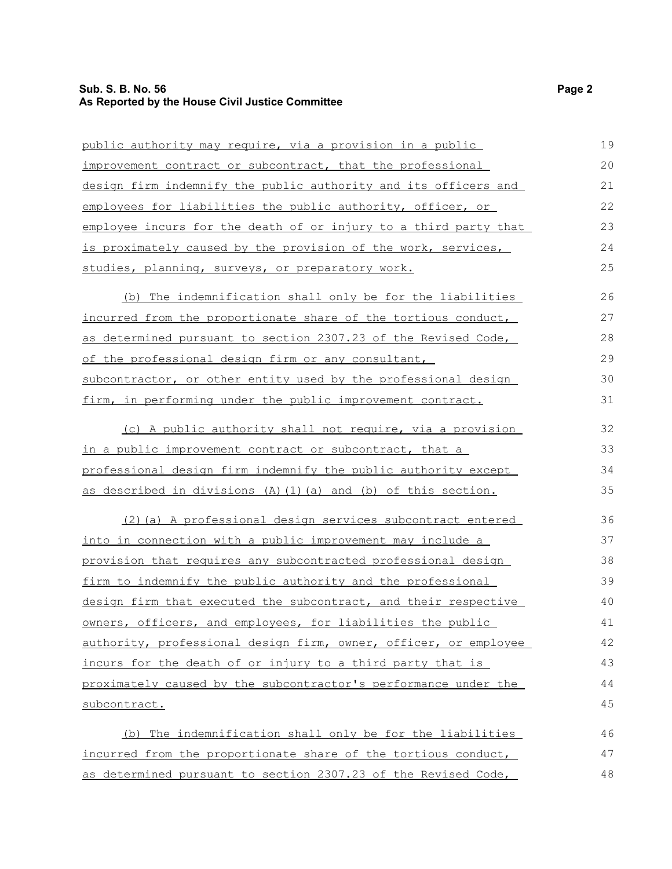### **Sub. S. B. No. 56 Page 2 As Reported by the House Civil Justice Committee**

| public authority may require, via a provision in a public               | 19 |
|-------------------------------------------------------------------------|----|
| improvement contract or subcontract, that the professional              | 20 |
| <u>design firm indemnify the public authority and its officers and </u> | 21 |
| employees for liabilities the public authority, officer, or             | 22 |
| employee incurs for the death of or injury to a third party that        | 23 |
| is proximately caused by the provision of the work, services,           | 24 |
| studies, planning, surveys, or preparatory work.                        | 25 |
| The indemnification shall only be for the liabilities<br>(b)            | 26 |
| incurred from the proportionate share of the tortious conduct,          | 27 |
| as determined pursuant to section 2307.23 of the Revised Code,          | 28 |
| of the professional design firm or any consultant,                      | 29 |
| subcontractor, or other entity used by the professional design          | 30 |
| firm, in performing under the public improvement contract.              | 31 |
| (c) A public authority shall not require, via a provision               | 32 |
| in a public improvement contract or subcontract, that a                 | 33 |
| professional design firm indemnify the public authority except          | 34 |
| <u>as described in divisions (A)(1)(a) and (b) of this section.</u>     | 35 |
| (2) (a) A professional design services subcontract entered              | 36 |
| into in connection with a public improvement may include a              | 37 |
| provision that requires any subcontracted professional design           | 38 |
| firm to indemnify the public authority and the professional             | 39 |
| design firm that executed the subcontract, and their respective         | 40 |
| owners, officers, and employees, for liabilities the public             | 41 |
| authority, professional design firm, owner, officer, or employee        | 42 |
| incurs for the death of or injury to a third party that is              | 43 |
| proximately caused by the subcontractor's performance under the         | 44 |
| subcontract.                                                            | 45 |
| (b) The indemnification shall only be for the liabilities               | 46 |
| incurred from the proportionate share of the tortious conduct,          | 47 |
| as determined pursuant to section 2307.23 of the Revised Code,          | 48 |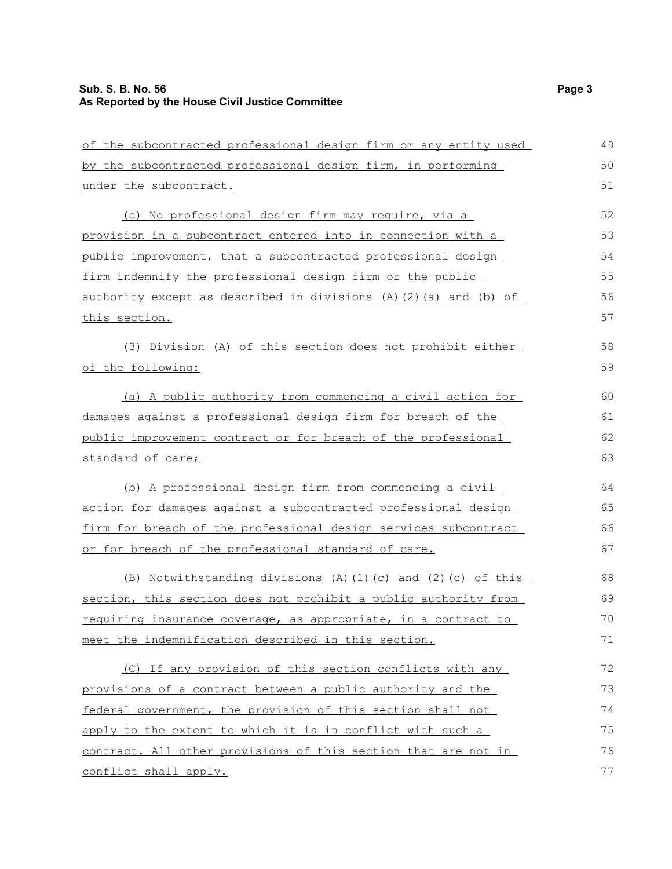### **Sub. S. B. No. 56** Page 3 **As Reported by the House Civil Justice Committee**

| of the subcontracted professional design firm or any entity used       | 49 |
|------------------------------------------------------------------------|----|
| by the subcontracted professional design firm, in performing           | 50 |
| under the subcontract.                                                 | 51 |
| (c) No professional design firm may require, via a                     | 52 |
| provision in a subcontract entered into in connection with a           | 53 |
| public improvement, that a subcontracted professional design           | 54 |
| firm indemnify the professional design firm or the public              | 55 |
| <u>authority except as described in divisions (A)(2)(a) and (b) of</u> | 56 |
| this section.                                                          | 57 |
| (3) Division (A) of this section does not prohibit either              | 58 |
| of the following:                                                      | 59 |
| (a) A public authority from commencing a civil action for              | 60 |
| damages against a professional design firm for breach of the           | 61 |
| public improvement contract or for breach of the professional          | 62 |
| standard of care;                                                      | 63 |
| (b) A professional design firm from commencing a civil                 | 64 |
| action for damages against a subcontracted professional design         | 65 |
| firm for breach of the professional design services subcontract        | 66 |
| or for breach of the professional standard of care.                    | 67 |
| (B) Notwithstanding divisions (A)(1)(c) and (2)(c) of this             | 68 |
| section, this section does not prohibit a public authority from        | 69 |
| requiring insurance coverage, as appropriate, in a contract to         | 70 |
| meet the indemnification described in this section.                    | 71 |
| (C) If any provision of this section conflicts with any                | 72 |
| provisions of a contract between a public authority and the            | 73 |
| federal government, the provision of this section shall not            | 74 |
| apply to the extent to which it is in conflict with such a             | 75 |
| contract. All other provisions of this section that are not in         | 76 |
| conflict shall apply.                                                  | 77 |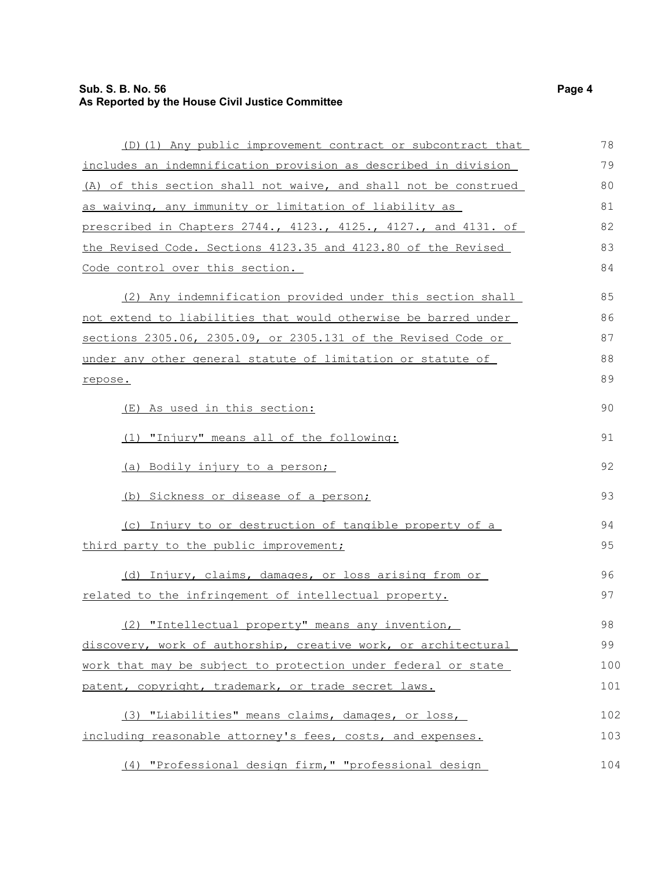### **Sub. S. B. No. 56 Page 4 As Reported by the House Civil Justice Committee**

| (D)(1) Any public improvement contract or subcontract that      | 78  |
|-----------------------------------------------------------------|-----|
| includes an indemnification provision as described in division  | 79  |
| (A) of this section shall not waive, and shall not be construed | 80  |
| as waiving, any immunity or limitation of liability as          | 81  |
| prescribed in Chapters 2744., 4123., 4125., 4127., and 4131. of | 82  |
| the Revised Code. Sections 4123.35 and 4123.80 of the Revised   | 83  |
| Code control over this section.                                 | 84  |
| (2) Any indemnification provided under this section shall       | 85  |
| not extend to liabilities that would otherwise be barred under  | 86  |
| sections 2305.06, 2305.09, or 2305.131 of the Revised Code or   | 87  |
| under any other general statute of limitation or statute of     | 88  |
| repose.                                                         | 89  |
| (E) As used in this section:                                    | 90  |
| (1) "Injury" means all of the following:                        | 91  |
| (a) Bodily injury to a person;                                  | 92  |
| (b) Sickness or disease of a person;                            | 93  |
| (c) Injury to or destruction of tangible property of a          | 94  |
| third party to the public improvement;                          | 95  |
| (d) Injury, claims, damages, or loss arising from or            | 96  |
| related to the infringement of intellectual property.           | 97  |
| (2) "Intellectual property" means any invention,                | 98  |
| discovery, work of authorship, creative work, or architectural  | 99  |
| work that may be subject to protection under federal or state   | 100 |
| patent, copyright, trademark, or trade secret laws.             | 101 |
| (3) "Liabilities" means claims, damages, or loss,               | 102 |
| including reasonable attorney's fees, costs, and expenses.      | 103 |
| (4) "Professional design firm," "professional design            | 104 |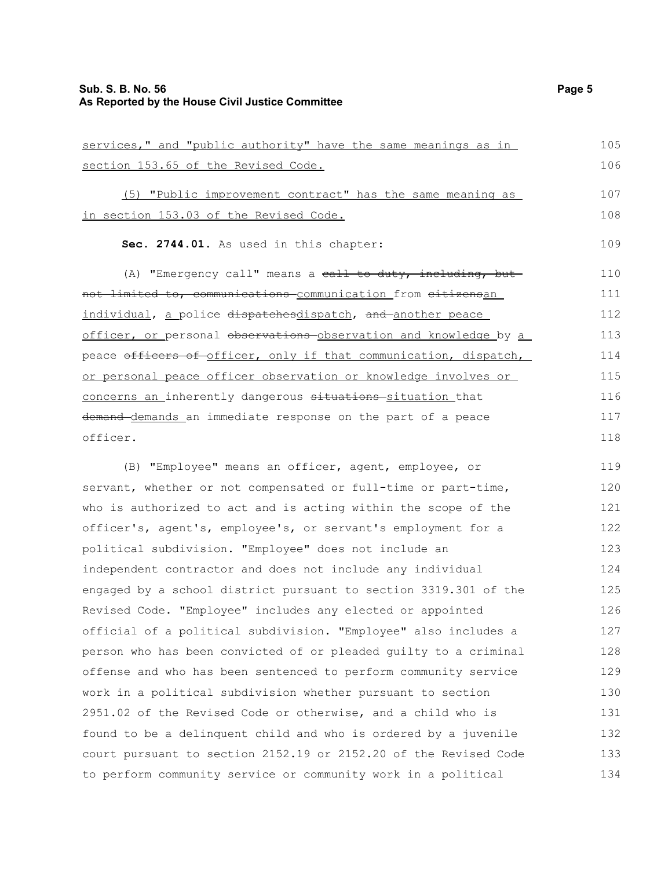### **Sub. S. B. No. 56** Page 5 **As Reported by the House Civil Justice Committee**

| services," and "public authority" have the same meanings as in              | 105 |
|-----------------------------------------------------------------------------|-----|
| section 153.65 of the Revised Code.                                         | 106 |
| (5) "Public improvement contract" has the same meaning as                   | 107 |
| in section 153.03 of the Revised Code.                                      | 108 |
| Sec. 2744.01. As used in this chapter:                                      | 109 |
| (A) "Emergency call" means a eall to duty, including, but-                  | 110 |
| not limited to, communications communication from citizensan                | 111 |
| individual, a police dispatchesdispatch, and another peace                  | 112 |
| officer, or personal <del>observations observation and knowledge by a</del> | 113 |
| peace officers of officer, only if that communication, dispatch,            | 114 |
| or personal peace officer observation or knowledge involves or              | 115 |
| concerns an inherently dangerous situations situation that                  | 116 |
| demand-demands an immediate response on the part of a peace                 | 117 |
| officer.                                                                    | 118 |
| (B) "Employee" means an officer, agent, employee, or                        | 119 |
| servant, whether or not compensated or full-time or part-time,              | 120 |
| who is authorized to act and is acting within the scope of the              | 121 |
| officer's, agent's, employee's, or servant's employment for a               | 122 |
| political subdivision. "Employee" does not include an                       | 123 |
| independent contractor and does not include any individual                  | 124 |
| engaged by a school district pursuant to section 3319.301 of the            | 125 |
| Revised Code. "Employee" includes any elected or appointed                  | 126 |
| official of a political subdivision. "Employee" also includes a             | 127 |
| person who has been convicted of or pleaded guilty to a criminal            | 128 |
| offense and who has been sentenced to perform community service             | 129 |
| work in a political subdivision whether pursuant to section                 | 130 |
| 2951.02 of the Revised Code or otherwise, and a child who is                | 131 |
| found to be a delinquent child and who is ordered by a juvenile             | 132 |
| court pursuant to section 2152.19 or 2152.20 of the Revised Code            | 133 |
| to perform community service or community work in a political               | 134 |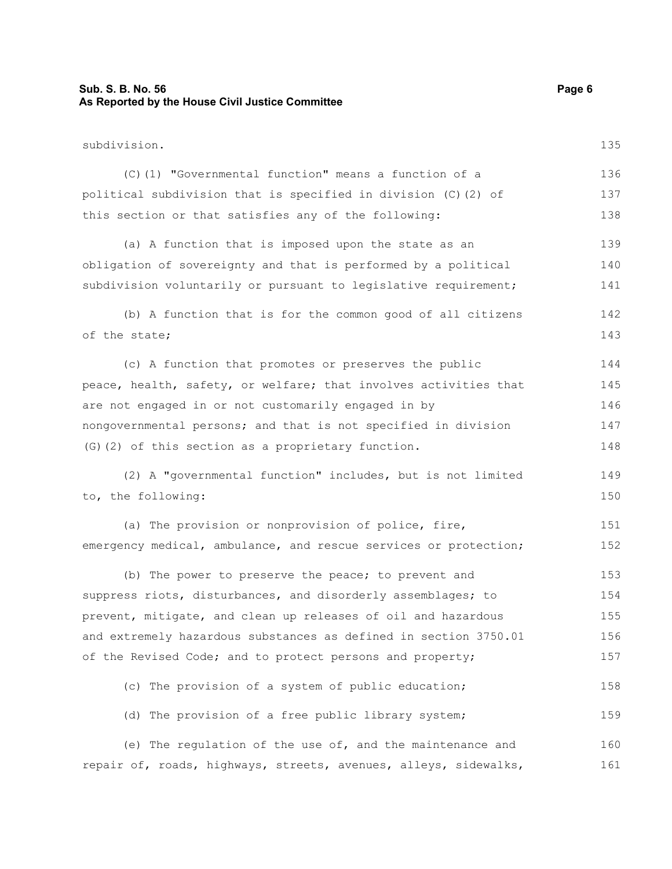### **Sub. S. B. No. 56** Page 6 **As Reported by the House Civil Justice Committee**

| subdivision.                                                     | 135 |
|------------------------------------------------------------------|-----|
| (C) (1) "Governmental function" means a function of a            | 136 |
| political subdivision that is specified in division (C)(2) of    | 137 |
| this section or that satisfies any of the following:             | 138 |
| (a) A function that is imposed upon the state as an              | 139 |
| obligation of sovereignty and that is performed by a political   | 140 |
| subdivision voluntarily or pursuant to legislative requirement;  | 141 |
| (b) A function that is for the common good of all citizens       | 142 |
| of the state;                                                    | 143 |
| (c) A function that promotes or preserves the public             | 144 |
| peace, health, safety, or welfare; that involves activities that | 145 |
| are not engaged in or not customarily engaged in by              | 146 |
| nongovernmental persons; and that is not specified in division   | 147 |
| (G) (2) of this section as a proprietary function.               | 148 |
| (2) A "governmental function" includes, but is not limited       | 149 |
| to, the following:                                               | 150 |
| (a) The provision or nonprovision of police, fire,               | 151 |
| emergency medical, ambulance, and rescue services or protection; | 152 |
| (b) The power to preserve the peace; to prevent and              | 153 |
| suppress riots, disturbances, and disorderly assemblages; to     | 154 |
| prevent, mitigate, and clean up releases of oil and hazardous    | 155 |
| and extremely hazardous substances as defined in section 3750.01 | 156 |
| of the Revised Code; and to protect persons and property;        | 157 |
| (c) The provision of a system of public education;               | 158 |
| (d) The provision of a free public library system;               | 159 |
| (e) The requlation of the use of, and the maintenance and        | 160 |
|                                                                  |     |

repair of, roads, highways, streets, avenues, alleys, sidewalks, 161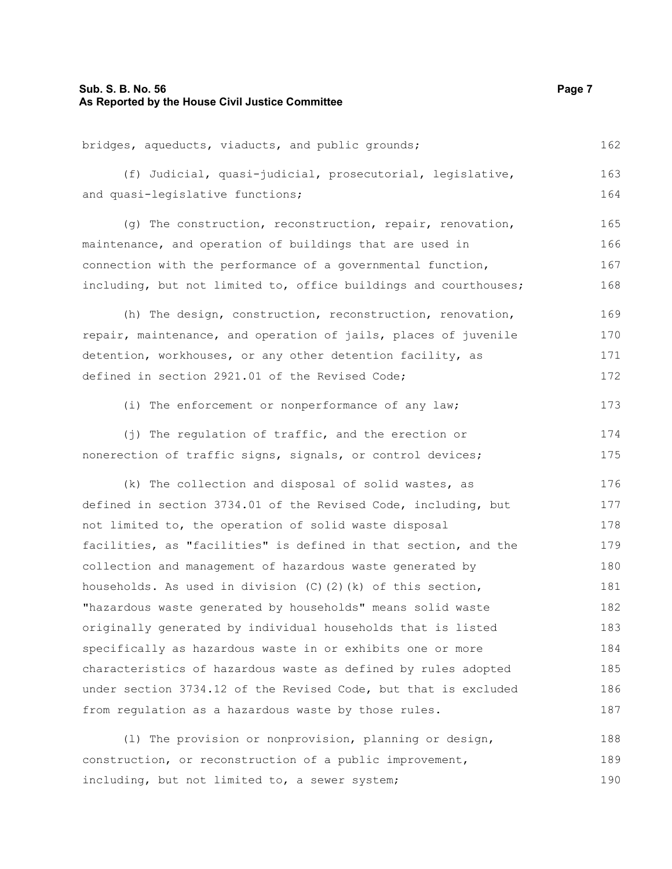### **Sub. S. B. No. 56 Page 7 As Reported by the House Civil Justice Committee**

including, but not limited to, a sewer system;

| bridges, aqueducts, viaducts, and public grounds;                  | 162 |
|--------------------------------------------------------------------|-----|
| (f) Judicial, quasi-judicial, prosecutorial, legislative,          | 163 |
| and quasi-legislative functions;                                   | 164 |
| (q) The construction, reconstruction, repair, renovation,          | 165 |
| maintenance, and operation of buildings that are used in           | 166 |
| connection with the performance of a governmental function,        | 167 |
| including, but not limited to, office buildings and courthouses;   | 168 |
| (h) The design, construction, reconstruction, renovation,          | 169 |
| repair, maintenance, and operation of jails, places of juvenile    | 170 |
| detention, workhouses, or any other detention facility, as         | 171 |
| defined in section 2921.01 of the Revised Code;                    | 172 |
| (i) The enforcement or nonperformance of any law;                  | 173 |
| (j) The regulation of traffic, and the erection or                 | 174 |
| nonerection of traffic signs, signals, or control devices;         | 175 |
| (k) The collection and disposal of solid wastes, as                | 176 |
| defined in section 3734.01 of the Revised Code, including, but     | 177 |
| not limited to, the operation of solid waste disposal              | 178 |
| facilities, as "facilities" is defined in that section, and the    | 179 |
| collection and management of hazardous waste generated by          | 180 |
| households. As used in division $(C)$ $(2)$ $(k)$ of this section, | 181 |
| "hazardous waste generated by households" means solid waste        | 182 |
| originally generated by individual households that is listed       | 183 |
| specifically as hazardous waste in or exhibits one or more         | 184 |
| characteristics of hazardous waste as defined by rules adopted     | 185 |
| under section 3734.12 of the Revised Code, but that is excluded    | 186 |
| from regulation as a hazardous waste by those rules.               | 187 |
| (1) The provision or nonprovision, planning or design,             | 188 |
| construction, or reconstruction of a public improvement,           | 189 |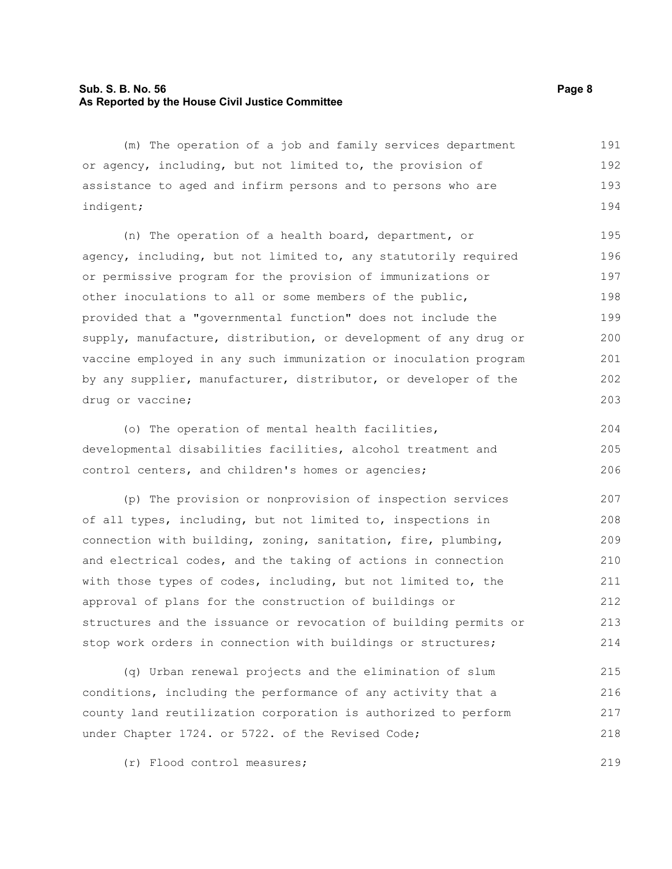#### **Sub. S. B. No. 56 Page 8** Page 8 Page 8 Page 8 **As Reported by the House Civil Justice Committee**

(m) The operation of a job and family services department or agency, including, but not limited to, the provision of assistance to aged and infirm persons and to persons who are indigent; 191 192 193 194

(n) The operation of a health board, department, or agency, including, but not limited to, any statutorily required or permissive program for the provision of immunizations or other inoculations to all or some members of the public, provided that a "governmental function" does not include the supply, manufacture, distribution, or development of any drug or vaccine employed in any such immunization or inoculation program by any supplier, manufacturer, distributor, or developer of the drug or vaccine; 195 196 197 198 199 200 201 202 203

(o) The operation of mental health facilities, developmental disabilities facilities, alcohol treatment and control centers, and children's homes or agencies; 204 205 206

(p) The provision or nonprovision of inspection services of all types, including, but not limited to, inspections in connection with building, zoning, sanitation, fire, plumbing, and electrical codes, and the taking of actions in connection with those types of codes, including, but not limited to, the approval of plans for the construction of buildings or structures and the issuance or revocation of building permits or stop work orders in connection with buildings or structures; 207 208 209 210 211 212 213 214

(q) Urban renewal projects and the elimination of slum conditions, including the performance of any activity that a county land reutilization corporation is authorized to perform under Chapter 1724. or 5722. of the Revised Code; 215 216 217 218

(r) Flood control measures;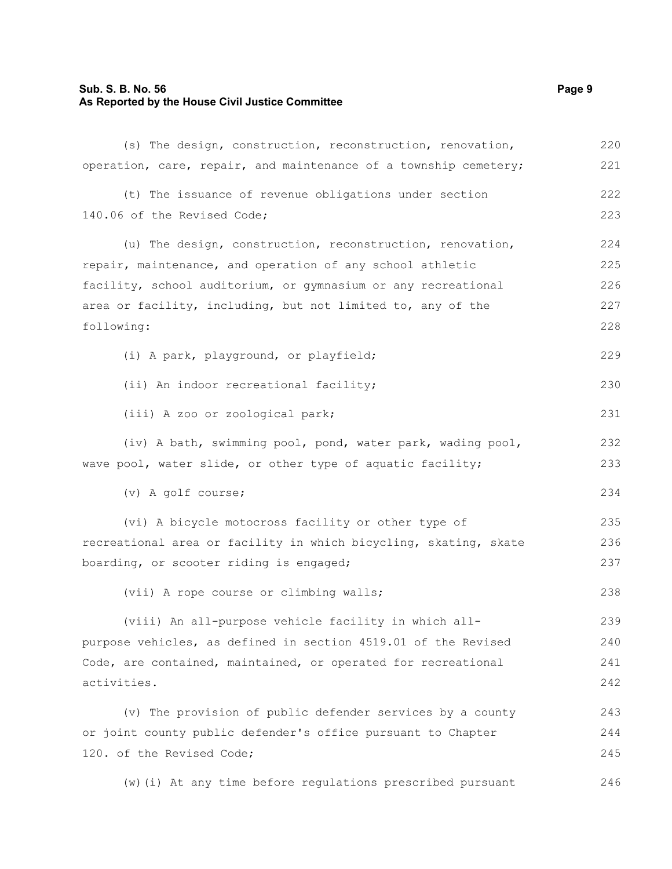### **Sub. S. B. No. 56 Page 9 As Reported by the House Civil Justice Committee**

| (s) The design, construction, reconstruction, renovation,        | 220 |
|------------------------------------------------------------------|-----|
| operation, care, repair, and maintenance of a township cemetery; | 221 |
| (t) The issuance of revenue obligations under section            | 222 |
| 140.06 of the Revised Code;                                      | 223 |
| (u) The design, construction, reconstruction, renovation,        | 224 |
| repair, maintenance, and operation of any school athletic        | 225 |
| facility, school auditorium, or gymnasium or any recreational    | 226 |
| area or facility, including, but not limited to, any of the      | 227 |
| following:                                                       | 228 |
| (i) A park, playground, or playfield;                            | 229 |
| (ii) An indoor recreational facility;                            | 230 |
| (iii) A zoo or zoological park;                                  | 231 |
| (iv) A bath, swimming pool, pond, water park, wading pool,       | 232 |
| wave pool, water slide, or other type of aquatic facility;       | 233 |
| (v) A golf course;                                               | 234 |
| (vi) A bicycle motocross facility or other type of               | 235 |
| recreational area or facility in which bicycling, skating, skate | 236 |
| boarding, or scooter riding is engaged;                          | 237 |
| (vii) A rope course or climbing walls;                           | 238 |
| (viii) An all-purpose vehicle facility in which all-             | 239 |
| purpose vehicles, as defined in section 4519.01 of the Revised   | 240 |
| Code, are contained, maintained, or operated for recreational    | 241 |
| activities.                                                      | 242 |
| (v) The provision of public defender services by a county        | 243 |
| or joint county public defender's office pursuant to Chapter     | 244 |
| 120. of the Revised Code;                                        | 245 |
| (w) (i) At any time before regulations prescribed pursuant       | 246 |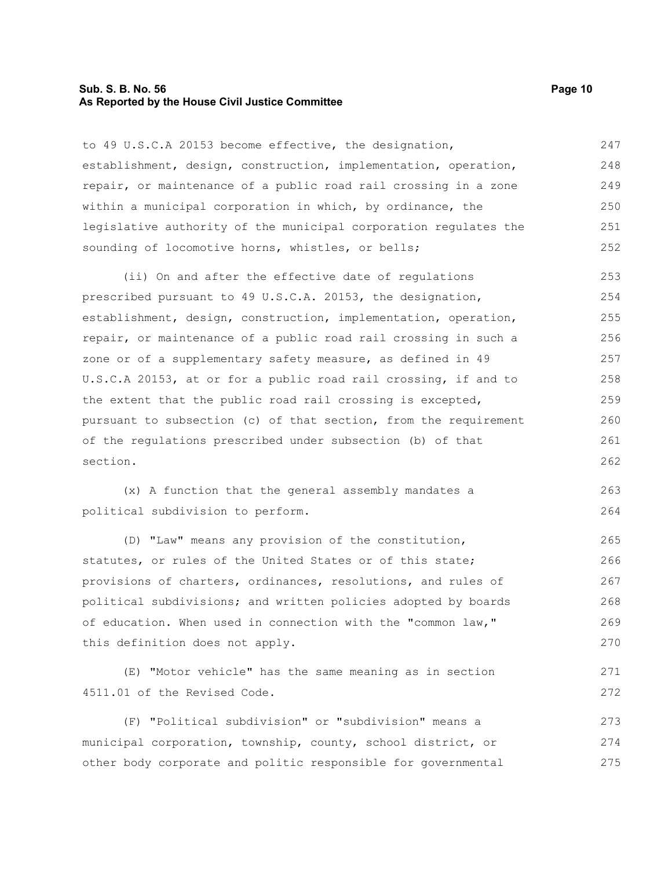#### **Sub. S. B. No. 56 Page 10 As Reported by the House Civil Justice Committee**

to 49 U.S.C.A 20153 become effective, the designation, establishment, design, construction, implementation, operation, repair, or maintenance of a public road rail crossing in a zone within a municipal corporation in which, by ordinance, the legislative authority of the municipal corporation regulates the sounding of locomotive horns, whistles, or bells; 247 248 249 250 251 252

(ii) On and after the effective date of regulations prescribed pursuant to 49 U.S.C.A. 20153, the designation, establishment, design, construction, implementation, operation, repair, or maintenance of a public road rail crossing in such a zone or of a supplementary safety measure, as defined in 49 U.S.C.A 20153, at or for a public road rail crossing, if and to the extent that the public road rail crossing is excepted, pursuant to subsection (c) of that section, from the requirement of the regulations prescribed under subsection (b) of that section. 253 254 255 256 257 258 259 260 261 262

(x) A function that the general assembly mandates a political subdivision to perform.

(D) "Law" means any provision of the constitution, statutes, or rules of the United States or of this state; provisions of charters, ordinances, resolutions, and rules of political subdivisions; and written policies adopted by boards of education. When used in connection with the "common law," this definition does not apply. 265 266 267 268 269 270

(E) "Motor vehicle" has the same meaning as in section 4511.01 of the Revised Code.

(F) "Political subdivision" or "subdivision" means a municipal corporation, township, county, school district, or other body corporate and politic responsible for governmental 273 274 275

263 264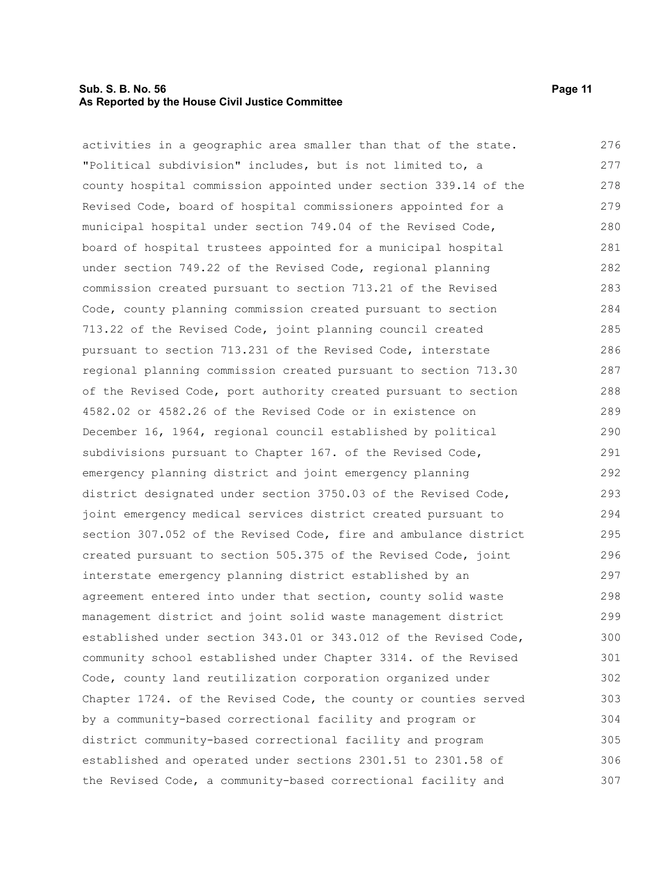#### **Sub. S. B. No. 56 Page 11 As Reported by the House Civil Justice Committee**

activities in a geographic area smaller than that of the state. "Political subdivision" includes, but is not limited to, a county hospital commission appointed under section 339.14 of the Revised Code, board of hospital commissioners appointed for a municipal hospital under section 749.04 of the Revised Code, board of hospital trustees appointed for a municipal hospital under section 749.22 of the Revised Code, regional planning commission created pursuant to section 713.21 of the Revised Code, county planning commission created pursuant to section 713.22 of the Revised Code, joint planning council created pursuant to section 713.231 of the Revised Code, interstate regional planning commission created pursuant to section 713.30 of the Revised Code, port authority created pursuant to section 4582.02 or 4582.26 of the Revised Code or in existence on December 16, 1964, regional council established by political subdivisions pursuant to Chapter 167. of the Revised Code, emergency planning district and joint emergency planning district designated under section 3750.03 of the Revised Code, joint emergency medical services district created pursuant to section 307.052 of the Revised Code, fire and ambulance district created pursuant to section 505.375 of the Revised Code, joint interstate emergency planning district established by an agreement entered into under that section, county solid waste management district and joint solid waste management district established under section 343.01 or 343.012 of the Revised Code, community school established under Chapter 3314. of the Revised Code, county land reutilization corporation organized under Chapter 1724. of the Revised Code, the county or counties served by a community-based correctional facility and program or district community-based correctional facility and program established and operated under sections 2301.51 to 2301.58 of the Revised Code, a community-based correctional facility and 276 277 278 279 280 281 282 283 284 285 286 287 288 289 290 291 292 293 294 295 296 297 298 299 300 301 302 303 304 305 306 307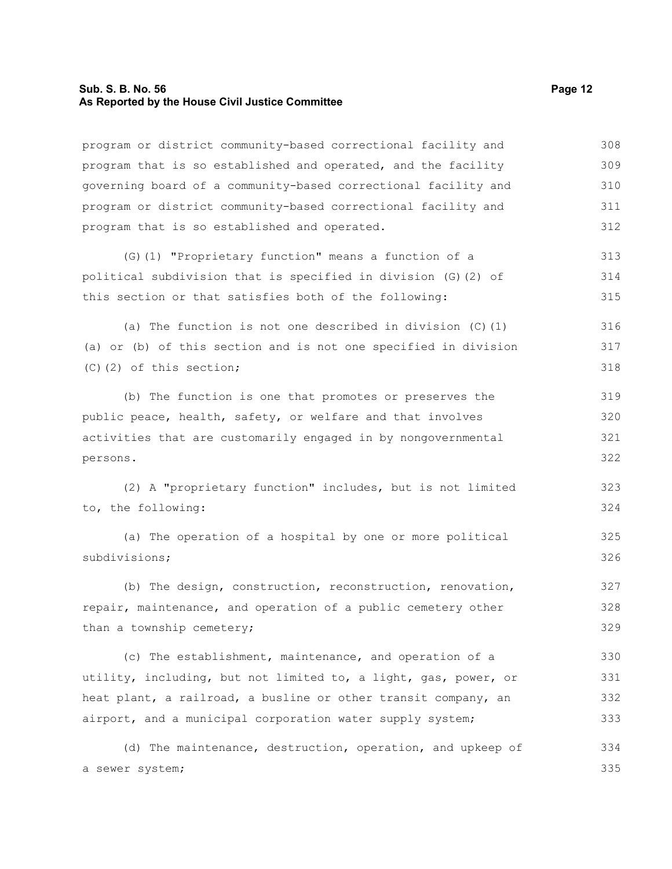#### **Sub. S. B. No. 56 Page 12 As Reported by the House Civil Justice Committee**

program or district community-based correctional facility and

program that is so established and operated, and the facility governing board of a community-based correctional facility and program or district community-based correctional facility and program that is so established and operated. (G)(1) "Proprietary function" means a function of a political subdivision that is specified in division (G)(2) of this section or that satisfies both of the following: (a) The function is not one described in division (C)(1) (a) or (b) of this section and is not one specified in division (C)(2) of this section; (b) The function is one that promotes or preserves the public peace, health, safety, or welfare and that involves activities that are customarily engaged in by nongovernmental persons. (2) A "proprietary function" includes, but is not limited to, the following: (a) The operation of a hospital by one or more political subdivisions; (b) The design, construction, reconstruction, renovation, repair, maintenance, and operation of a public cemetery other than a township cemetery; (c) The establishment, maintenance, and operation of a utility, including, but not limited to, a light, gas, power, or heat plant, a railroad, a busline or other transit company, an airport, and a municipal corporation water supply system; (d) The maintenance, destruction, operation, and upkeep of 309 310 311 312 313 314 315 316 317 318 319 320 321 322 323 324 325 326 327 328 329 330 331 332 333 334

a sewer system;

308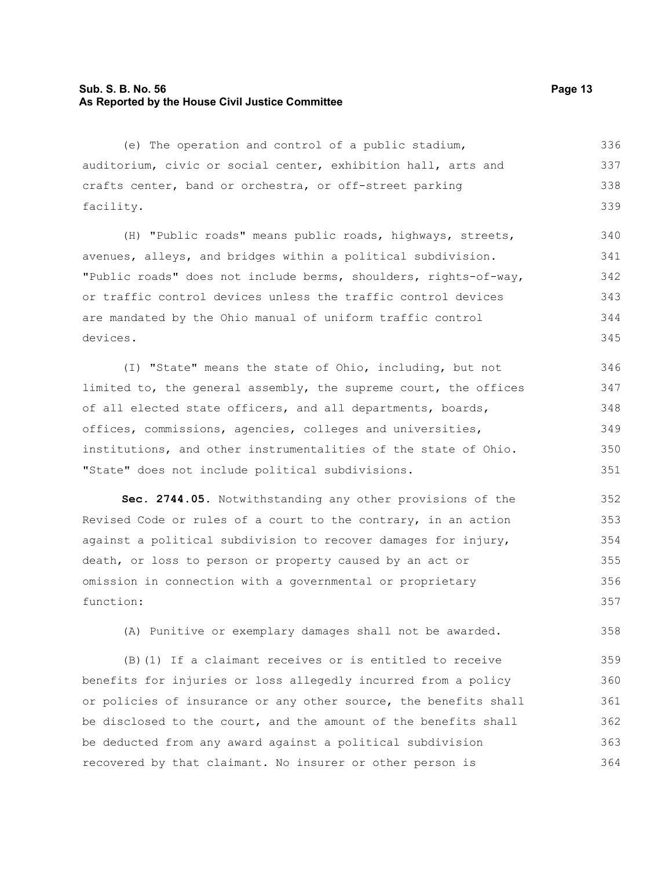#### **Sub. S. B. No. 56 Page 13 As Reported by the House Civil Justice Committee**

(e) The operation and control of a public stadium, auditorium, civic or social center, exhibition hall, arts and crafts center, band or orchestra, or off-street parking facility. 336 337 338 339

(H) "Public roads" means public roads, highways, streets, avenues, alleys, and bridges within a political subdivision. "Public roads" does not include berms, shoulders, rights-of-way, or traffic control devices unless the traffic control devices are mandated by the Ohio manual of uniform traffic control devices. 340 341 342 343 344 345

(I) "State" means the state of Ohio, including, but not limited to, the general assembly, the supreme court, the offices of all elected state officers, and all departments, boards, offices, commissions, agencies, colleges and universities, institutions, and other instrumentalities of the state of Ohio. "State" does not include political subdivisions. 346 347 348 349 350 351

**Sec. 2744.05.** Notwithstanding any other provisions of the Revised Code or rules of a court to the contrary, in an action against a political subdivision to recover damages for injury, death, or loss to person or property caused by an act or omission in connection with a governmental or proprietary function: 352 353 354 355 356 357

(A) Punitive or exemplary damages shall not be awarded. 358

(B)(1) If a claimant receives or is entitled to receive benefits for injuries or loss allegedly incurred from a policy or policies of insurance or any other source, the benefits shall be disclosed to the court, and the amount of the benefits shall be deducted from any award against a political subdivision recovered by that claimant. No insurer or other person is 359 360 361 362 363 364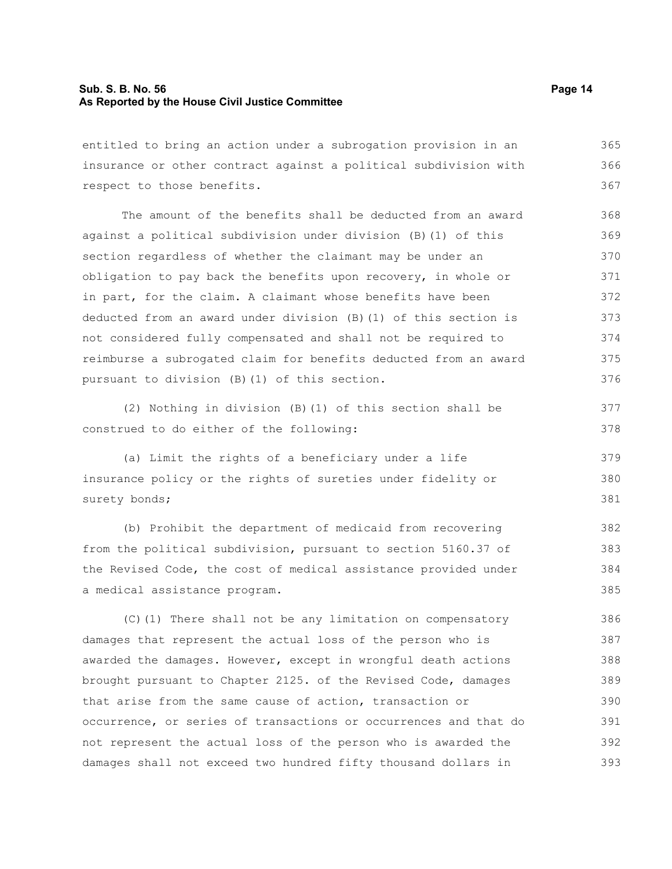#### **Sub. S. B. No. 56 Page 14 As Reported by the House Civil Justice Committee**

entitled to bring an action under a subrogation provision in an insurance or other contract against a political subdivision with respect to those benefits. 365 366 367

The amount of the benefits shall be deducted from an award against a political subdivision under division (B)(1) of this section regardless of whether the claimant may be under an obligation to pay back the benefits upon recovery, in whole or in part, for the claim. A claimant whose benefits have been deducted from an award under division (B)(1) of this section is not considered fully compensated and shall not be required to reimburse a subrogated claim for benefits deducted from an award pursuant to division (B)(1) of this section. 368 369 370 371 372 373 374 375 376

(2) Nothing in division (B)(1) of this section shall be construed to do either of the following:

(a) Limit the rights of a beneficiary under a life insurance policy or the rights of sureties under fidelity or surety bonds; 379 380 381

(b) Prohibit the department of medicaid from recovering from the political subdivision, pursuant to section 5160.37 of the Revised Code, the cost of medical assistance provided under a medical assistance program. 383 384 385

(C)(1) There shall not be any limitation on compensatory damages that represent the actual loss of the person who is awarded the damages. However, except in wrongful death actions brought pursuant to Chapter 2125. of the Revised Code, damages that arise from the same cause of action, transaction or occurrence, or series of transactions or occurrences and that do not represent the actual loss of the person who is awarded the damages shall not exceed two hundred fifty thousand dollars in 386 387 388 389 390 391 392 393

377 378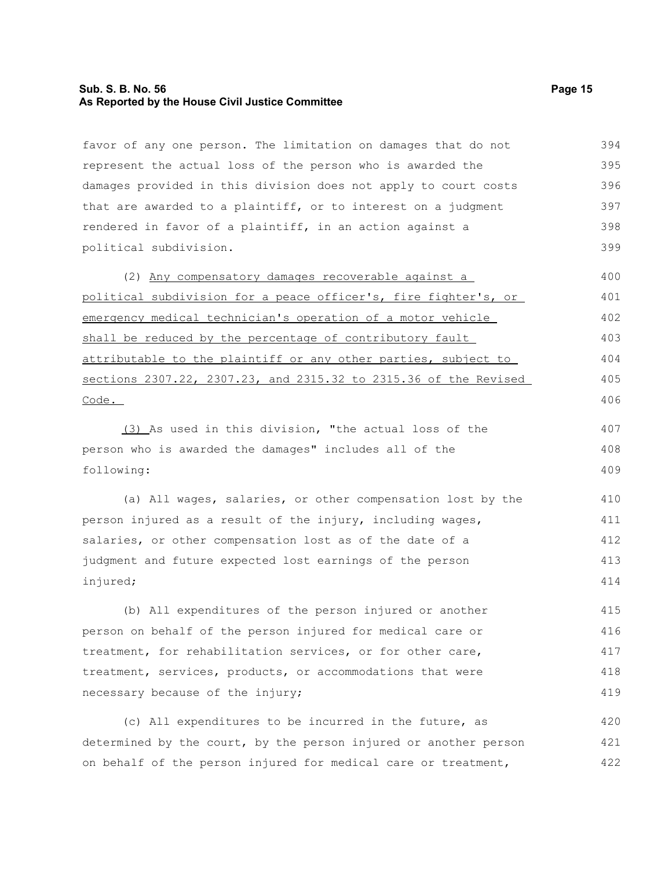#### **Sub. S. B. No. 56 Page 15 As Reported by the House Civil Justice Committee**

favor of any one person. The limitation on damages that do not represent the actual loss of the person who is awarded the damages provided in this division does not apply to court costs that are awarded to a plaintiff, or to interest on a judgment rendered in favor of a plaintiff, in an action against a political subdivision. 394 395 396 397 398 399

(2) Any compensatory damages recoverable against a political subdivision for a peace officer's, fire fighter's, or emergency medical technician's operation of a motor vehicle shall be reduced by the percentage of contributory fault attributable to the plaintiff or any other parties, subject to sections 2307.22, 2307.23, and 2315.32 to 2315.36 of the Revised Code. 400 401 402 403 404 405 406

(3) As used in this division, "the actual loss of the person who is awarded the damages" includes all of the following: 407 408 409

(a) All wages, salaries, or other compensation lost by the person injured as a result of the injury, including wages, salaries, or other compensation lost as of the date of a judgment and future expected lost earnings of the person injured; 410 411 412 413 414

(b) All expenditures of the person injured or another person on behalf of the person injured for medical care or treatment, for rehabilitation services, or for other care, treatment, services, products, or accommodations that were necessary because of the injury; 415 416 417 418 419

(c) All expenditures to be incurred in the future, as determined by the court, by the person injured or another person on behalf of the person injured for medical care or treatment, 420 421 422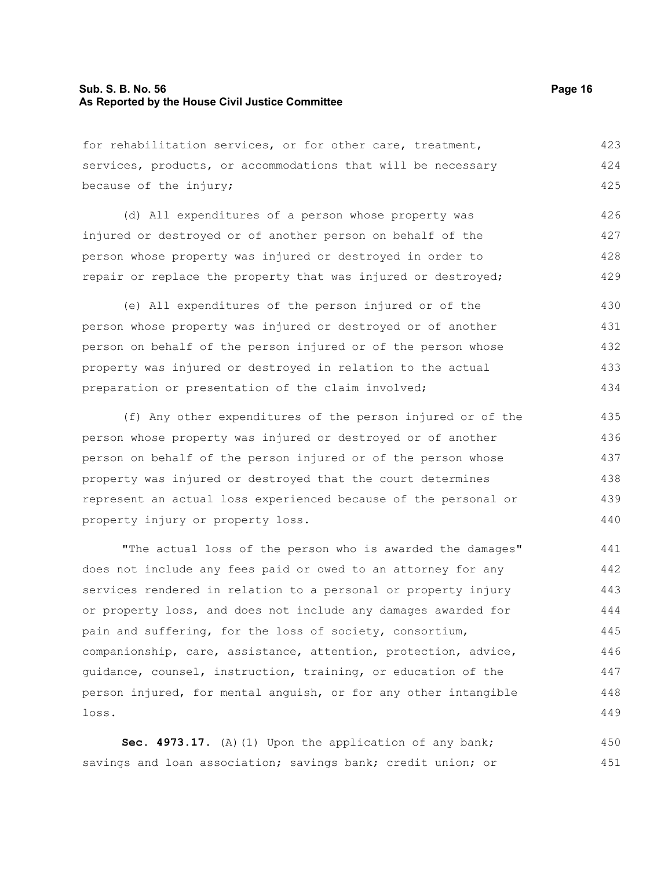for rehabilitation services, or for other care, treatment, services, products, or accommodations that will be necessary because of the injury; 423 424 425

(d) All expenditures of a person whose property was injured or destroyed or of another person on behalf of the person whose property was injured or destroyed in order to repair or replace the property that was injured or destroyed; 426 427 428 429

(e) All expenditures of the person injured or of the person whose property was injured or destroyed or of another person on behalf of the person injured or of the person whose property was injured or destroyed in relation to the actual preparation or presentation of the claim involved; 430 431 432 433 434

(f) Any other expenditures of the person injured or of the person whose property was injured or destroyed or of another person on behalf of the person injured or of the person whose property was injured or destroyed that the court determines represent an actual loss experienced because of the personal or property injury or property loss. 435 436 437 438 439 440

"The actual loss of the person who is awarded the damages" does not include any fees paid or owed to an attorney for any services rendered in relation to a personal or property injury or property loss, and does not include any damages awarded for pain and suffering, for the loss of society, consortium, companionship, care, assistance, attention, protection, advice, guidance, counsel, instruction, training, or education of the person injured, for mental anguish, or for any other intangible loss. 441 442 443 444 445 446 447 448 449

Sec. 4973.17. (A)(1) Upon the application of any bank; savings and loan association; savings bank; credit union; or 450 451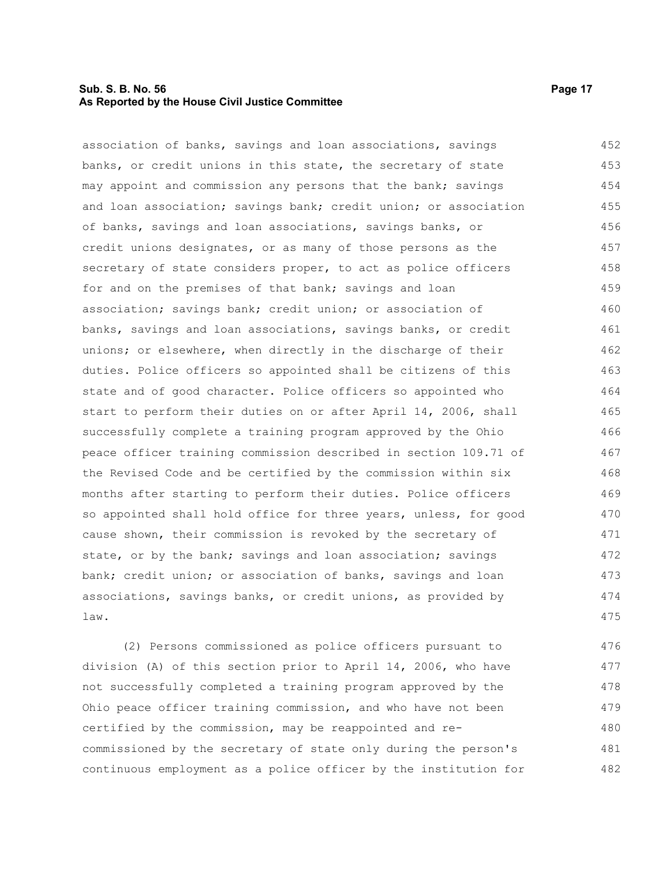#### **Sub. S. B. No. 56 Page 17 As Reported by the House Civil Justice Committee**

association of banks, savings and loan associations, savings banks, or credit unions in this state, the secretary of state may appoint and commission any persons that the bank; savings and loan association; savings bank; credit union; or association of banks, savings and loan associations, savings banks, or credit unions designates, or as many of those persons as the secretary of state considers proper, to act as police officers for and on the premises of that bank; savings and loan association; savings bank; credit union; or association of banks, savings and loan associations, savings banks, or credit unions; or elsewhere, when directly in the discharge of their duties. Police officers so appointed shall be citizens of this state and of good character. Police officers so appointed who start to perform their duties on or after April 14, 2006, shall successfully complete a training program approved by the Ohio peace officer training commission described in section 109.71 of the Revised Code and be certified by the commission within six months after starting to perform their duties. Police officers so appointed shall hold office for three years, unless, for good cause shown, their commission is revoked by the secretary of state, or by the bank; savings and loan association; savings bank; credit union; or association of banks, savings and loan associations, savings banks, or credit unions, as provided by law. 452 453 454 455 456 457 458 459 460 461 462 463 464 465 466 467 468 469 470 471 472 473 474 475

(2) Persons commissioned as police officers pursuant to division (A) of this section prior to April 14, 2006, who have not successfully completed a training program approved by the Ohio peace officer training commission, and who have not been certified by the commission, may be reappointed and recommissioned by the secretary of state only during the person's continuous employment as a police officer by the institution for 476 477 478 479 480 481 482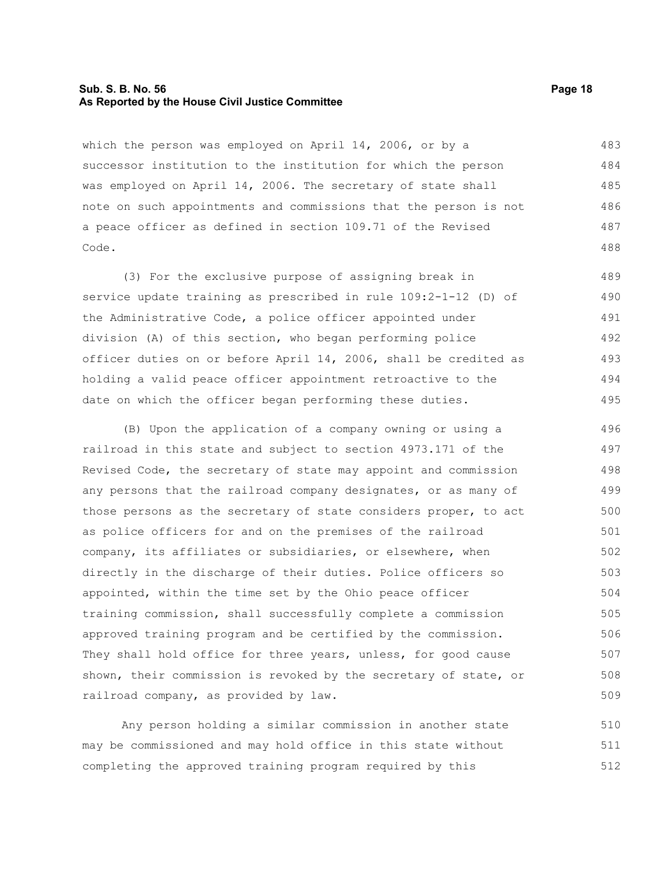#### **Sub. S. B. No. 56 Page 18 As Reported by the House Civil Justice Committee**

which the person was employed on April 14, 2006, or by a successor institution to the institution for which the person was employed on April 14, 2006. The secretary of state shall note on such appointments and commissions that the person is not a peace officer as defined in section 109.71 of the Revised Code. 483 484 485 486 487 488

(3) For the exclusive purpose of assigning break in service update training as prescribed in rule 109:2-1-12 (D) of the Administrative Code, a police officer appointed under division (A) of this section, who began performing police officer duties on or before April 14, 2006, shall be credited as holding a valid peace officer appointment retroactive to the date on which the officer began performing these duties. 489 490 491 492 493 494 495

(B) Upon the application of a company owning or using a railroad in this state and subject to section 4973.171 of the Revised Code, the secretary of state may appoint and commission any persons that the railroad company designates, or as many of those persons as the secretary of state considers proper, to act as police officers for and on the premises of the railroad company, its affiliates or subsidiaries, or elsewhere, when directly in the discharge of their duties. Police officers so appointed, within the time set by the Ohio peace officer training commission, shall successfully complete a commission approved training program and be certified by the commission. They shall hold office for three years, unless, for good cause shown, their commission is revoked by the secretary of state, or railroad company, as provided by law. 496 497 498 499 500 501 502 503 504 505 506 507 508 509

Any person holding a similar commission in another state may be commissioned and may hold office in this state without completing the approved training program required by this 510 511 512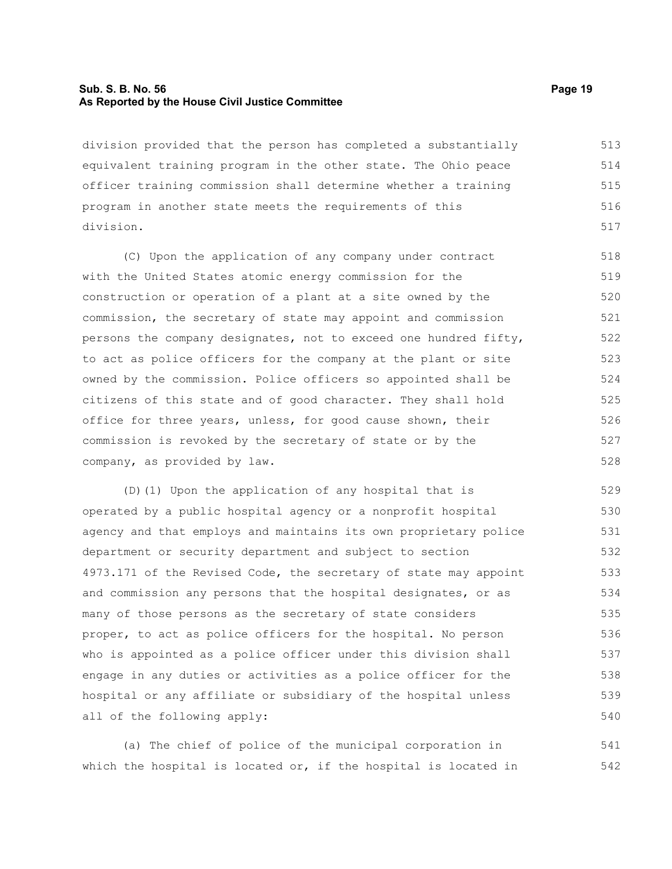#### **Sub. S. B. No. 56 Page 19 As Reported by the House Civil Justice Committee**

division provided that the person has completed a substantially equivalent training program in the other state. The Ohio peace officer training commission shall determine whether a training program in another state meets the requirements of this division. 513 514 515 516 517

(C) Upon the application of any company under contract with the United States atomic energy commission for the construction or operation of a plant at a site owned by the commission, the secretary of state may appoint and commission persons the company designates, not to exceed one hundred fifty, to act as police officers for the company at the plant or site owned by the commission. Police officers so appointed shall be citizens of this state and of good character. They shall hold office for three years, unless, for good cause shown, their commission is revoked by the secretary of state or by the company, as provided by law. 518 519 520 521 522 523 524 525 526 527 528

(D)(1) Upon the application of any hospital that is operated by a public hospital agency or a nonprofit hospital agency and that employs and maintains its own proprietary police department or security department and subject to section 4973.171 of the Revised Code, the secretary of state may appoint and commission any persons that the hospital designates, or as many of those persons as the secretary of state considers proper, to act as police officers for the hospital. No person who is appointed as a police officer under this division shall engage in any duties or activities as a police officer for the hospital or any affiliate or subsidiary of the hospital unless all of the following apply: 529 530 531 532 533 534 535 536 537 538 539 540

(a) The chief of police of the municipal corporation in which the hospital is located or, if the hospital is located in 541 542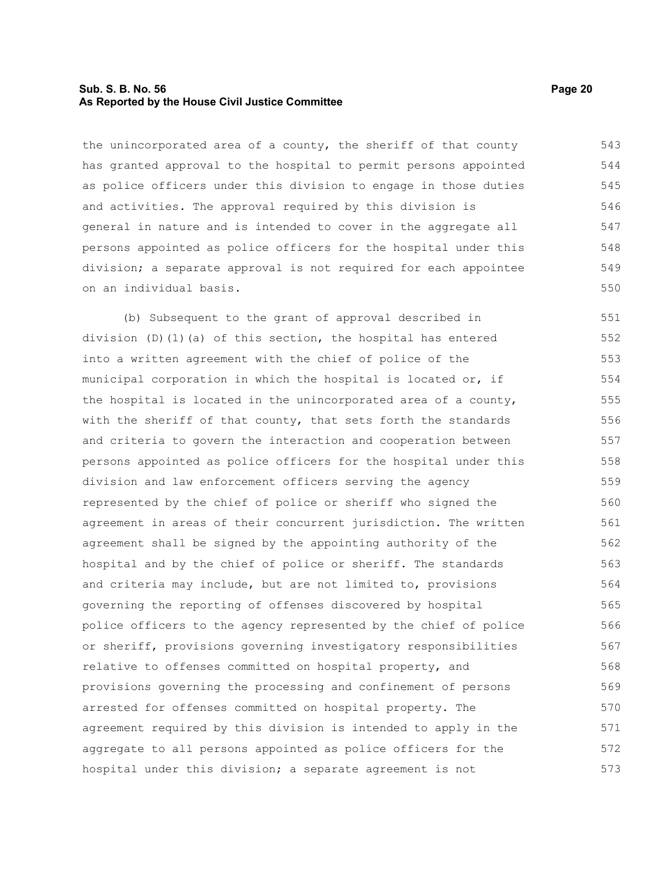#### **Sub. S. B. No. 56 Page 20 As Reported by the House Civil Justice Committee**

the unincorporated area of a county, the sheriff of that county has granted approval to the hospital to permit persons appointed as police officers under this division to engage in those duties and activities. The approval required by this division is general in nature and is intended to cover in the aggregate all persons appointed as police officers for the hospital under this division; a separate approval is not required for each appointee on an individual basis. 543 544 545 546 547 548 549 550

(b) Subsequent to the grant of approval described in division (D)(1)(a) of this section, the hospital has entered into a written agreement with the chief of police of the municipal corporation in which the hospital is located or, if the hospital is located in the unincorporated area of a county, with the sheriff of that county, that sets forth the standards and criteria to govern the interaction and cooperation between persons appointed as police officers for the hospital under this division and law enforcement officers serving the agency represented by the chief of police or sheriff who signed the agreement in areas of their concurrent jurisdiction. The written agreement shall be signed by the appointing authority of the hospital and by the chief of police or sheriff. The standards and criteria may include, but are not limited to, provisions governing the reporting of offenses discovered by hospital police officers to the agency represented by the chief of police or sheriff, provisions governing investigatory responsibilities relative to offenses committed on hospital property, and provisions governing the processing and confinement of persons arrested for offenses committed on hospital property. The agreement required by this division is intended to apply in the aggregate to all persons appointed as police officers for the hospital under this division; a separate agreement is not 551 552 553 554 555 556 557 558 559 560 561 562 563 564 565 566 567 568 569 570 571 572 573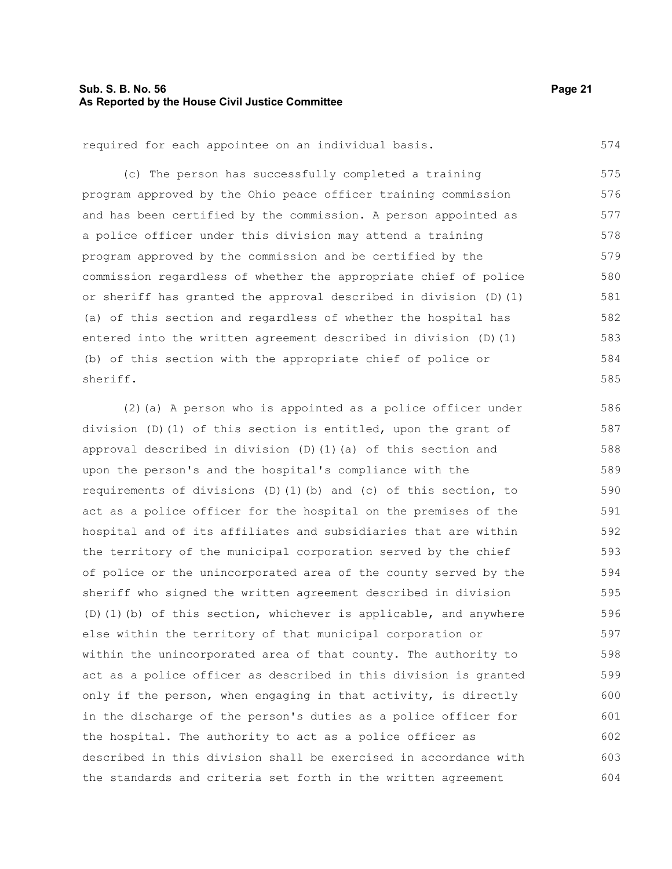#### **Sub. S. B. No. 56 Page 21 As Reported by the House Civil Justice Committee**

required for each appointee on an individual basis.

(c) The person has successfully completed a training program approved by the Ohio peace officer training commission and has been certified by the commission. A person appointed as a police officer under this division may attend a training program approved by the commission and be certified by the commission regardless of whether the appropriate chief of police or sheriff has granted the approval described in division (D)(1) (a) of this section and regardless of whether the hospital has entered into the written agreement described in division (D)(1) (b) of this section with the appropriate chief of police or sheriff. 575 576 577 578 579 580 581 582 583 584 585

(2)(a) A person who is appointed as a police officer under division (D)(1) of this section is entitled, upon the grant of approval described in division (D)(1)(a) of this section and upon the person's and the hospital's compliance with the requirements of divisions (D)(1)(b) and (c) of this section, to act as a police officer for the hospital on the premises of the hospital and of its affiliates and subsidiaries that are within the territory of the municipal corporation served by the chief of police or the unincorporated area of the county served by the sheriff who signed the written agreement described in division (D)(1)(b) of this section, whichever is applicable, and anywhere else within the territory of that municipal corporation or within the unincorporated area of that county. The authority to act as a police officer as described in this division is granted only if the person, when engaging in that activity, is directly in the discharge of the person's duties as a police officer for the hospital. The authority to act as a police officer as described in this division shall be exercised in accordance with the standards and criteria set forth in the written agreement 586 587 588 589 590 591 592 593 594 595 596 597 598 599 600 601 602 603 604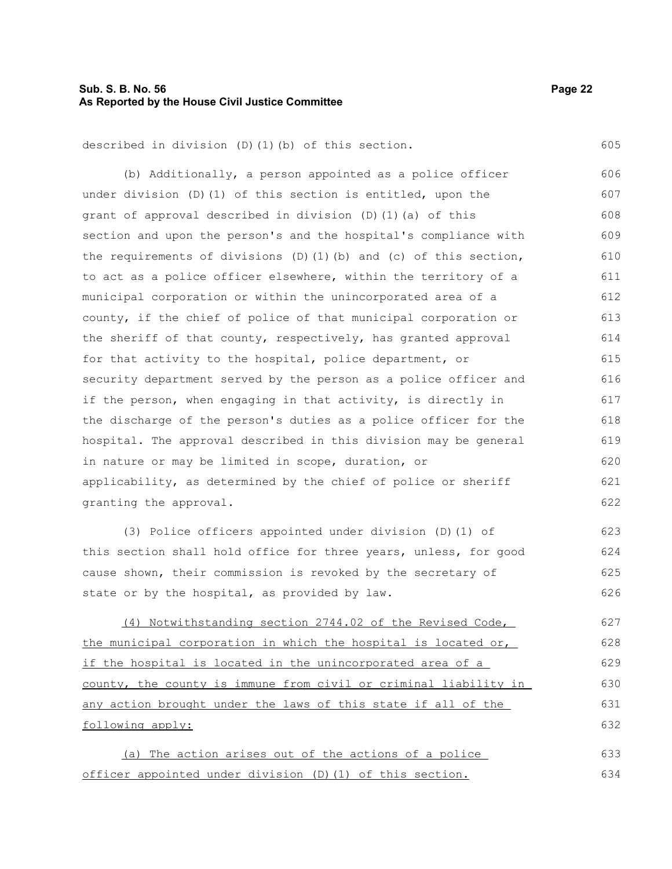#### **Sub. S. B. No. 56 Page 22 As Reported by the House Civil Justice Committee**

described in division (D)(1)(b) of this section.

(b) Additionally, a person appointed as a police officer under division (D)(1) of this section is entitled, upon the grant of approval described in division (D)(1)(a) of this section and upon the person's and the hospital's compliance with the requirements of divisions  $(D)(1)(b)$  and  $(c)$  of this section, to act as a police officer elsewhere, within the territory of a municipal corporation or within the unincorporated area of a county, if the chief of police of that municipal corporation or the sheriff of that county, respectively, has granted approval for that activity to the hospital, police department, or security department served by the person as a police officer and if the person, when engaging in that activity, is directly in the discharge of the person's duties as a police officer for the hospital. The approval described in this division may be general in nature or may be limited in scope, duration, or applicability, as determined by the chief of police or sheriff granting the approval. 606 607 608 609 610 611 612 613 614 615 616 617 618 619 620 621 622

(3) Police officers appointed under division (D)(1) of this section shall hold office for three years, unless, for good cause shown, their commission is revoked by the secretary of state or by the hospital, as provided by law.

(4) Notwithstanding section 2744.02 of the Revised Code, the municipal corporation in which the hospital is located or, if the hospital is located in the unincorporated area of a county, the county is immune from civil or criminal liability in any action brought under the laws of this state if all of the following apply: 627 628 629 630 631 632

(a) The action arises out of the actions of a police officer appointed under division (D)(1) of this section. 633 634

605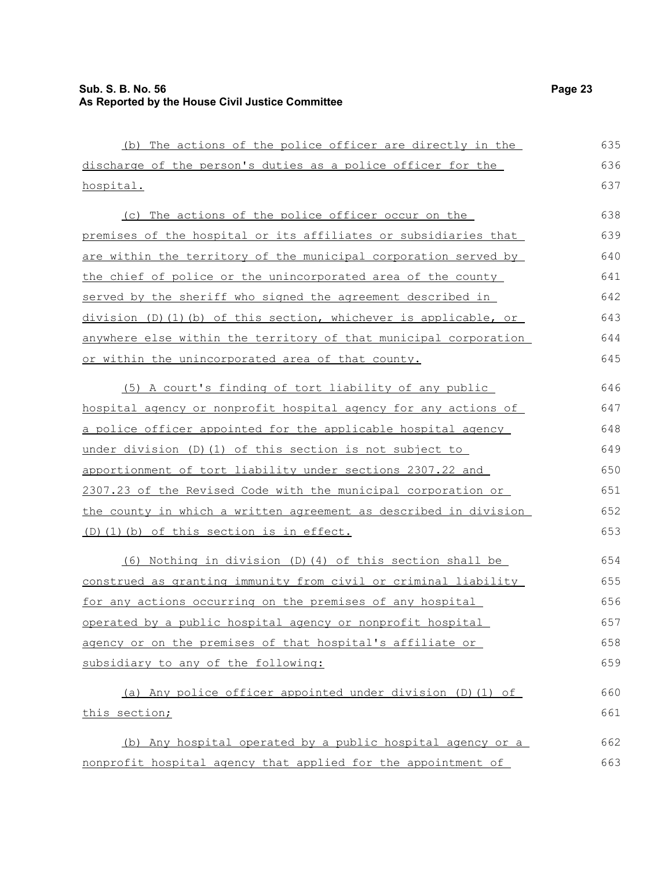| (b) The actions of the police officer are directly in the        | 635 |
|------------------------------------------------------------------|-----|
| discharge of the person's duties as a police officer for the     | 636 |
| hospital.                                                        | 637 |
| (c) The actions of the police officer occur on the               | 638 |
| premises of the hospital or its affiliates or subsidiaries that  | 639 |
| are within the territory of the municipal corporation served by  | 640 |
| the chief of police or the unincorporated area of the county     | 641 |
| served by the sheriff who signed the agreement described in      | 642 |
| division (D)(1)(b) of this section, whichever is applicable, or  | 643 |
| anywhere else within the territory of that municipal corporation | 644 |
| or within the unincorporated area of that county.                | 645 |
| (5) A court's finding of tort liability of any public            | 646 |
| hospital agency or nonprofit hospital agency for any actions of  | 647 |
| a police officer appointed for the applicable hospital agency    | 648 |
| under division (D) (1) of this section is not subject to         | 649 |
| apportionment of tort liability under sections 2307.22 and       | 650 |
| 2307.23 of the Revised Code with the municipal corporation or    | 651 |
| the county in which a written agreement as described in division | 652 |
| (D) (1) (b) of this section is in effect.                        | 653 |
| (6) Nothing in division (D) (4) of this section shall be         | 654 |
| construed as granting immunity from civil or criminal liability  | 655 |
| for any actions occurring on the premises of any hospital        | 656 |
| operated by a public hospital agency or nonprofit hospital       | 657 |
| agency or on the premises of that hospital's affiliate or        | 658 |
| subsidiary to any of the following:                              | 659 |
| (a) Any police officer appointed under division (D) (1) of       | 660 |
| this section;                                                    | 661 |
| (b) Any hospital operated by a public hospital agency or a       | 662 |
| nonprofit hospital agency that applied for the appointment of    | 663 |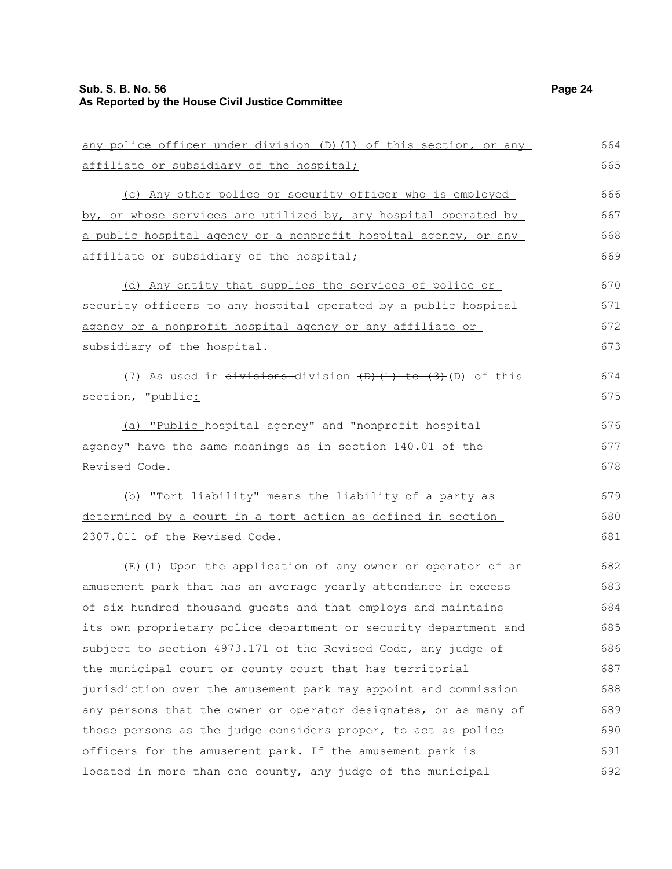| any police officer under division (D) (1) of this section, or any  | 664 |
|--------------------------------------------------------------------|-----|
| affiliate or subsidiary of the hospital;                           | 665 |
| (c) Any other police or security officer who is employed           | 666 |
| by, or whose services are utilized by, any hospital operated by    | 667 |
| a public hospital agency or a nonprofit hospital agency, or any    | 668 |
| affiliate or subsidiary of the hospital;                           | 669 |
| (d) Any entity that supplies the services of police or             | 670 |
| security officers to any hospital operated by a public hospital    | 671 |
| agency or a nonprofit hospital agency or any affiliate or          | 672 |
| subsidiary of the hospital.                                        | 673 |
| (7) As used in $divisions-division$ (D) $(1)$ to $(3)$ (D) of this | 674 |
| section, "public:                                                  | 675 |
| (a) "Public hospital agency" and "nonprofit hospital               | 676 |
| agency" have the same meanings as in section 140.01 of the         | 677 |
| Revised Code.                                                      | 678 |
| (b) "Tort liability" means the liability of a party as             | 679 |
| determined by a court in a tort action as defined in section       | 680 |
| 2307.011 of the Revised Code.                                      | 681 |
| (E) (1) Upon the application of any owner or operator of an        | 682 |
| amusement park that has an average yearly attendance in excess     | 683 |
| of six hundred thousand guests and that employs and maintains      | 684 |
| its own proprietary police department or security department and   | 685 |
| subject to section 4973.171 of the Revised Code, any judge of      | 686 |
| the municipal court or county court that has territorial           | 687 |
| jurisdiction over the amusement park may appoint and commission    | 688 |
| any persons that the owner or operator designates, or as many of   | 689 |
| those persons as the judge considers proper, to act as police      | 690 |
| officers for the amusement park. If the amusement park is          | 691 |
| located in more than one county, any judge of the municipal        | 692 |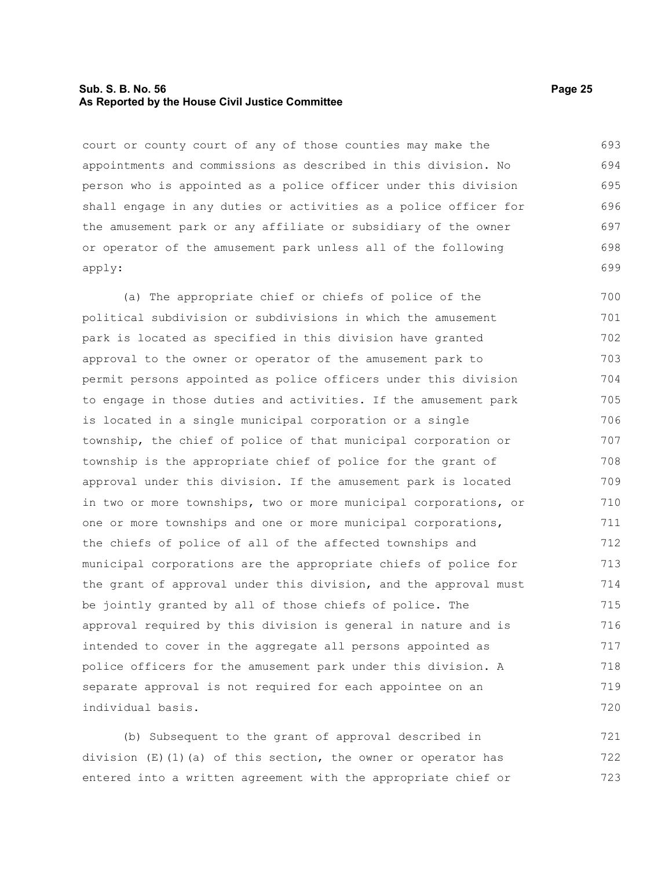#### **Sub. S. B. No. 56 Page 25 As Reported by the House Civil Justice Committee**

court or county court of any of those counties may make the appointments and commissions as described in this division. No person who is appointed as a police officer under this division shall engage in any duties or activities as a police officer for the amusement park or any affiliate or subsidiary of the owner or operator of the amusement park unless all of the following apply: 693 694 695 696 697 698 699

(a) The appropriate chief or chiefs of police of the political subdivision or subdivisions in which the amusement park is located as specified in this division have granted approval to the owner or operator of the amusement park to permit persons appointed as police officers under this division to engage in those duties and activities. If the amusement park is located in a single municipal corporation or a single township, the chief of police of that municipal corporation or township is the appropriate chief of police for the grant of approval under this division. If the amusement park is located in two or more townships, two or more municipal corporations, or one or more townships and one or more municipal corporations, the chiefs of police of all of the affected townships and municipal corporations are the appropriate chiefs of police for the grant of approval under this division, and the approval must be jointly granted by all of those chiefs of police. The approval required by this division is general in nature and is intended to cover in the aggregate all persons appointed as police officers for the amusement park under this division. A separate approval is not required for each appointee on an individual basis. 700 701 702 703 704 705 706 707 708 709 710 711 712 713 714 715 716 717 718 719 720

(b) Subsequent to the grant of approval described in division  $(E)$  (1)(a) of this section, the owner or operator has entered into a written agreement with the appropriate chief or 721 722 723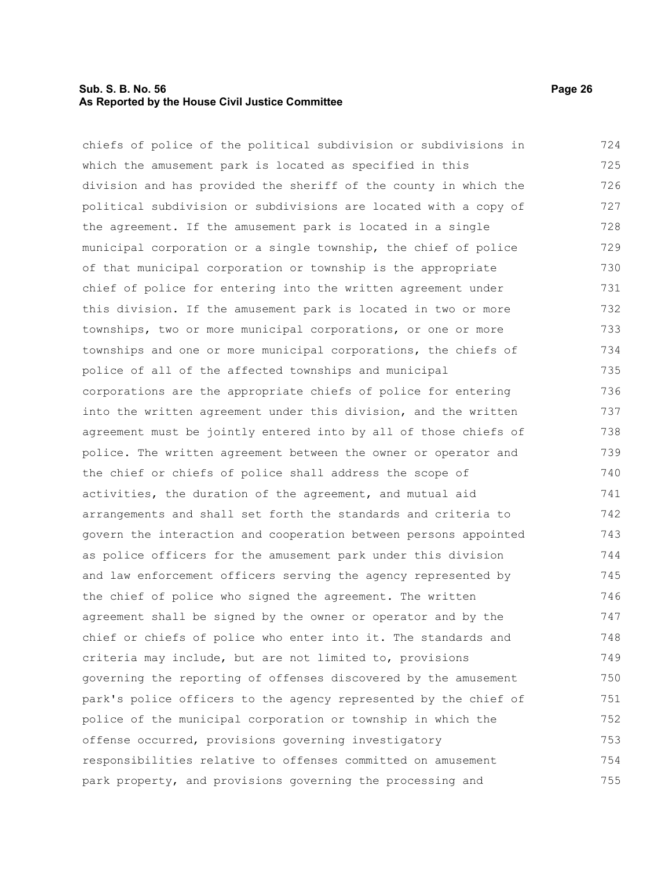#### **Sub. S. B. No. 56 Page 26 As Reported by the House Civil Justice Committee**

chiefs of police of the political subdivision or subdivisions in which the amusement park is located as specified in this division and has provided the sheriff of the county in which the political subdivision or subdivisions are located with a copy of the agreement. If the amusement park is located in a single municipal corporation or a single township, the chief of police of that municipal corporation or township is the appropriate chief of police for entering into the written agreement under this division. If the amusement park is located in two or more townships, two or more municipal corporations, or one or more townships and one or more municipal corporations, the chiefs of police of all of the affected townships and municipal corporations are the appropriate chiefs of police for entering into the written agreement under this division, and the written agreement must be jointly entered into by all of those chiefs of

police. The written agreement between the owner or operator and the chief or chiefs of police shall address the scope of activities, the duration of the agreement, and mutual aid arrangements and shall set forth the standards and criteria to govern the interaction and cooperation between persons appointed as police officers for the amusement park under this division and law enforcement officers serving the agency represented by the chief of police who signed the agreement. The written agreement shall be signed by the owner or operator and by the chief or chiefs of police who enter into it. The standards and criteria may include, but are not limited to, provisions governing the reporting of offenses discovered by the amusement park's police officers to the agency represented by the chief of police of the municipal corporation or township in which the offense occurred, provisions governing investigatory responsibilities relative to offenses committed on amusement park property, and provisions governing the processing and 739 740 741 742 743 744 745 746 747 748 749 750 751 752 753 754 755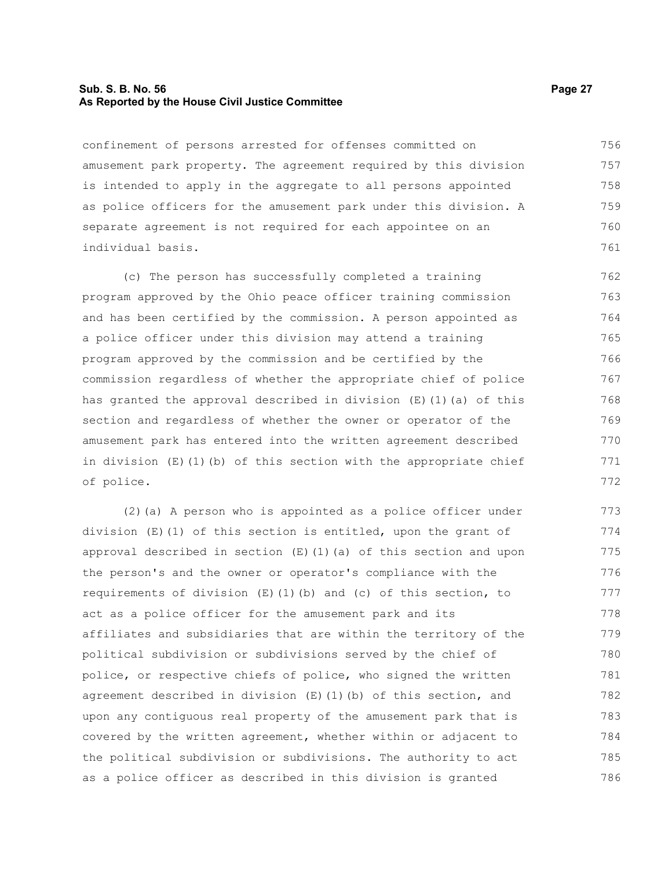#### **Sub. S. B. No. 56 Page 27 As Reported by the House Civil Justice Committee**

confinement of persons arrested for offenses committed on amusement park property. The agreement required by this division is intended to apply in the aggregate to all persons appointed as police officers for the amusement park under this division. A separate agreement is not required for each appointee on an individual basis. 756 757 758 759 760 761

(c) The person has successfully completed a training program approved by the Ohio peace officer training commission and has been certified by the commission. A person appointed as a police officer under this division may attend a training program approved by the commission and be certified by the commission regardless of whether the appropriate chief of police has granted the approval described in division (E)(1)(a) of this section and regardless of whether the owner or operator of the amusement park has entered into the written agreement described in division  $(E)(1)(b)$  of this section with the appropriate chief of police. 762 763 764 765 766 767 768 769 770 771 772

(2)(a) A person who is appointed as a police officer under division (E)(1) of this section is entitled, upon the grant of approval described in section  $(E)$  (1)(a) of this section and upon the person's and the owner or operator's compliance with the requirements of division  $(E)(1)(b)$  and (c) of this section, to act as a police officer for the amusement park and its affiliates and subsidiaries that are within the territory of the political subdivision or subdivisions served by the chief of police, or respective chiefs of police, who signed the written agreement described in division  $(E)(1)(b)$  of this section, and upon any contiguous real property of the amusement park that is covered by the written agreement, whether within or adjacent to the political subdivision or subdivisions. The authority to act as a police officer as described in this division is granted 773 774 775 776 777 778 779 780 781 782 783 784 785 786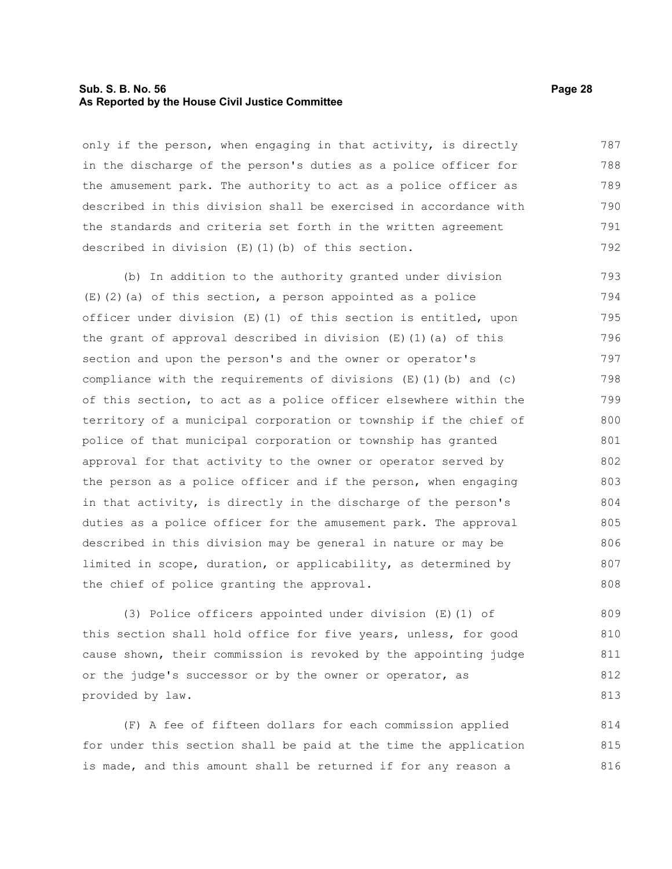#### **Sub. S. B. No. 56 Page 28 As Reported by the House Civil Justice Committee**

only if the person, when engaging in that activity, is directly in the discharge of the person's duties as a police officer for the amusement park. The authority to act as a police officer as described in this division shall be exercised in accordance with the standards and criteria set forth in the written agreement described in division (E)(1)(b) of this section. 787 788 789 790 791 792

(b) In addition to the authority granted under division (E)(2)(a) of this section, a person appointed as a police officer under division (E)(1) of this section is entitled, upon the grant of approval described in division (E)(1)(a) of this section and upon the person's and the owner or operator's compliance with the requirements of divisions  $(E)(1)(b)$  and  $(c)$ of this section, to act as a police officer elsewhere within the territory of a municipal corporation or township if the chief of police of that municipal corporation or township has granted approval for that activity to the owner or operator served by the person as a police officer and if the person, when engaging in that activity, is directly in the discharge of the person's duties as a police officer for the amusement park. The approval described in this division may be general in nature or may be limited in scope, duration, or applicability, as determined by the chief of police granting the approval. 793 794 795 796 797 798 799 800 801 802 803 804 805 806 807 808

(3) Police officers appointed under division (E)(1) of this section shall hold office for five years, unless, for good cause shown, their commission is revoked by the appointing judge or the judge's successor or by the owner or operator, as provided by law.

(F) A fee of fifteen dollars for each commission applied for under this section shall be paid at the time the application is made, and this amount shall be returned if for any reason a 814 815 816